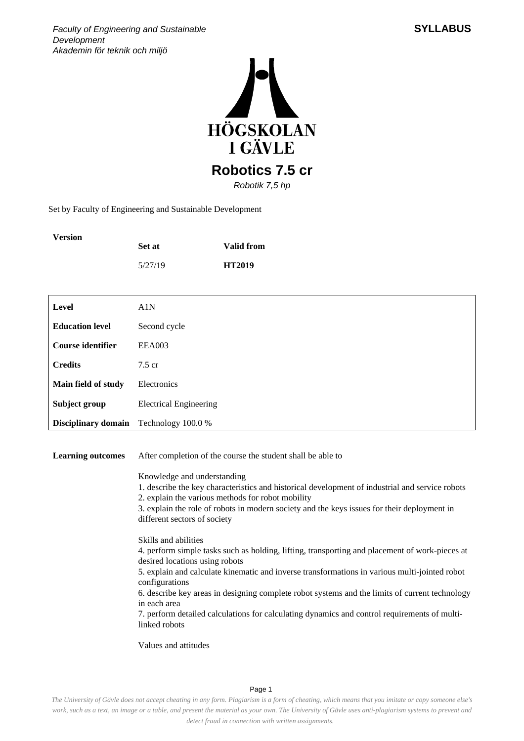

Set by Faculty of Engineering and Sustainable Development

| Version | <b>Set at</b> | <b>Valid from</b> |
|---------|---------------|-------------------|
|         | 5/27/19       | <b>HT2019</b>     |

| Level                    | A1N                           |
|--------------------------|-------------------------------|
| <b>Education level</b>   | Second cycle                  |
| <b>Course identifier</b> | <b>EEA003</b>                 |
| <b>Credits</b>           | $7.5 \text{ cr}$              |
| Main field of study      | Electronics                   |
| Subject group            | <b>Electrical Engineering</b> |
| Disciplinary domain      | Technology 100.0 %            |

**Learning outcomes** After completion of the course the student shall be able to

Knowledge and understanding

1. describe the key characteristics and historical development of industrial and service robots

2. explain the various methods for robot mobility

3. explain the role of robots in modern society and the keys issues for their deployment in different sectors of society

Skills and abilities

4. perform simple tasks such as holding, lifting, transporting and placement of work-pieces at desired locations using robots

5. explain and calculate kinematic and inverse transformations in various multi-jointed robot configurations

6. describe key areas in designing complete robot systems and the limits of current technology in each area

7. perform detailed calculations for calculating dynamics and control requirements of multilinked robots

Values and attitudes

Page 1

*The University of Gävle does not accept cheating in any form. Plagiarism is a form of cheating, which means that you imitate or copy someone else's work, such as a text, an image or a table, and present the material as your own. The University of Gävle uses anti-plagiarism systems to prevent and detect fraud in connection with written assignments.*